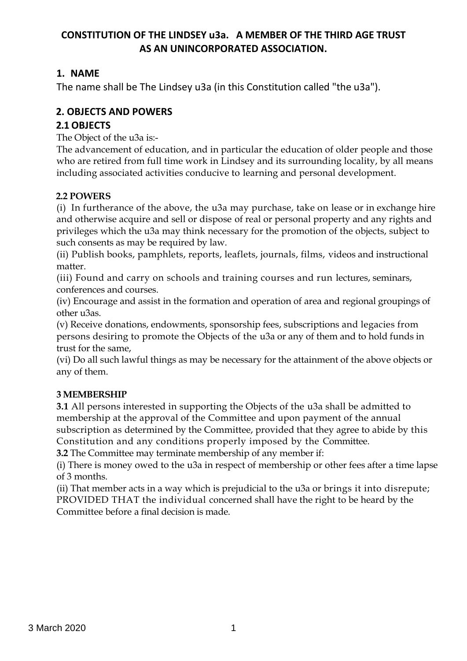# **CONSTITUTION OF THE LINDSEY u3a. A MEMBER OF THE THIRD AGE TRUST AS AN UNINCORPORATED ASSOCIATION.**

# **1. NAME**

The name shall be The Lindsey u3a (in this Constitution called "the u3a").

# **2. OBJECTS AND POWERS**

# **2.1 OBJECTS**

The Object of the u3a is:-

The advancement of education, and in particular the education of older people and those who are retired from full time work in Lindsey and its surrounding locality, by all means including associated activities conducive to learning and personal development.

### **2.2 POWERS**

(i) In furtherance of the above, the u3a may purchase, take on lease or in exchange hire and otherwise acquire and sell or dispose of real or personal property and any rights and privileges which the u3a may think necessary for the promotion of the objects, subject to such consents as may be required by law.

(ii) Publish books, pamphlets, reports, leaflets, journals, films, videos and instructional matter.

(iii) Found and carry on schools and training courses and run lectures, seminars, conferences and courses.

(iv) Encourage and assist in the formation and operation of area and regional groupings of other u3as.

(v) Receive donations, endowments, sponsorship fees, subscriptions and legacies from persons desiring to promote the Objects of the u3a or any of them and to hold funds in trust for the same,

(vi) Do all such lawful things as may be necessary for the attainment of the above objects or any of them.

# **3 MEMBERSHIP**

**3.1** All persons interested in supporting the Objects of the u3a shall be admitted to membership at the approval of the Committee and upon payment of the annual subscription as determined by the Committee, provided that they agree to abide by this Constitution and any conditions properly imposed by the Committee.

**3.2** The Committee may terminate membership of any member if:

(i) There is money owed to the u3a in respect of membership or other fees after a time lapse of 3 months.

(ii) That member acts in a way which is prejudicial to the u3a or brings it into disrepute; PROVIDED THAT the individual concerned shall have the right to be heard by the Committee before a final decision is made.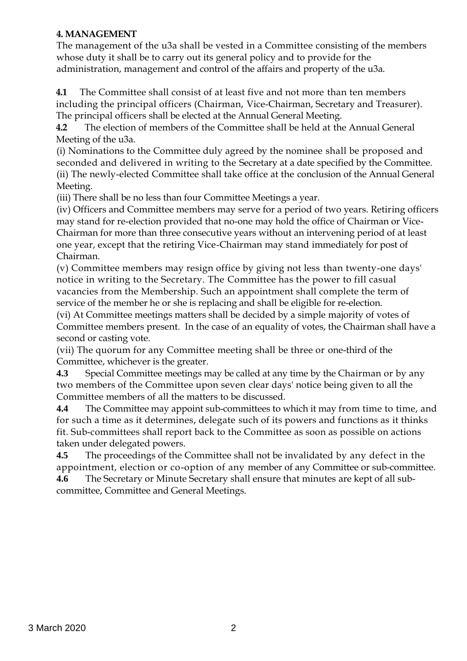#### **4. MANAGEMENT**

The management of the u3a shall be vested in a Committee consisting of the members whose duty it shall be to carry out its general policy and to provide for the administration, management and control of the affairs and property of the u3a.

**4.1** The Committee shall consist of at least five and not more than ten members including the principal officers (Chairman, Vice-Chairman, Secretary and Treasurer). The principal officers shall be elected at the Annual General Meeting.

**4.2** The election of members of the Committee shall be held at the Annual General Meeting of the u3a.

(i) Nominations to the Committee duly agreed by the nominee shall be proposed and seconded and delivered in writing to the Secretary at a date specified by the Committee. (ii) The newly-elected Committee shall take office at the conclusion of the Annual General Meeting.

(iii) There shall be no less than four Committee Meetings a year.

(iv) Officers and Committee members may serve for a period of two years. Retiring officers may stand for re-election provided that no-one may hold the office of Chairman or Vice-Chairman for more than three consecutive years without an intervening period of at least one year, except that the retiring Vice-Chairman may stand immediately for post of Chairman.

(v) Committee members may resign office by giving not less than twenty-one days' notice in writing to the Secretary. The Committee has the power to fill casual vacancies from the Membership. Such an appointment shall complete the term of service of the member he or she is replacing and shall be eligible for re-election.

(vi) At Committee meetings matters shall be decided by a simple majority of votes of Committee members present. In the case of an equality of votes, the Chairman shall have a second or casting vote.

(vii) The quorum for any Committee meeting shall be three or one-third of the Committee, whichever is the greater.

**4.3** Special Committee meetings may be called at any time by the Chairman or by any two members of the Committee upon seven clear days' notice being given to all the Committee members of all the matters to be discussed.

**4.4** The Committee may appoint sub-committees to which it may from time to time, and for such a time as it determines, delegate such of its powers and functions as it thinks fit. Sub-committees shall report back to the Committee as soon as possible on actions taken under delegated powers.

**4.5** The proceedings of the Committee shall not be invalidated by any defect in the appointment, election or co-option of any member of any Committee or sub-committee. **4.6** The Secretary or Minute Secretary shall ensure that minutes are kept of all subcommittee, Committee and General Meetings.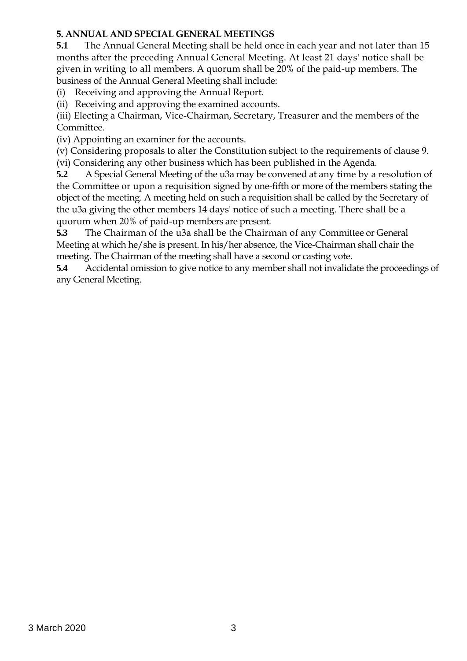#### **5. ANNUAL AND SPECIAL GENERAL MEETINGS**

**5.1** The Annual General Meeting shall be held once in each year and not later than 15 months after the preceding Annual General Meeting. At least 21 days' notice shall be given in writing to all members. A quorum shall be 20% of the paid-up members. The business of the Annual General Meeting shall include:

(i) Receiving and approving the Annual Report.

(ii) Receiving and approving the examined accounts.

(iii) Electing a Chairman, Vice-Chairman, Secretary, Treasurer and the members of the Committee.

(iv) Appointing an examiner for the accounts.

(v) Considering proposals to alter the Constitution subject to the requirements of clause 9. (vi) Considering any other business which has been published in the Agenda.

**5.2** A Special General Meeting of the u3a may be convened at any time by a resolution of the Committee or upon a requisition signed by one-fifth or more of the members stating the object of the meeting. A meeting held on such a requisition shall be called by the Secretary of the u3a giving the other members 14 days' notice of such a meeting. There shall be a quorum when 20% of paid-up members are present.

**5.3** The Chairman of the u3a shall be the Chairman of any Committee or General Meeting at which he/she is present. In his/her absence, the Vice-Chairman shall chair the meeting. The Chairman of the meeting shall have a second or casting vote.

**5.4** Accidental omission to give notice to any member shall not invalidate the proceedings of any General Meeting.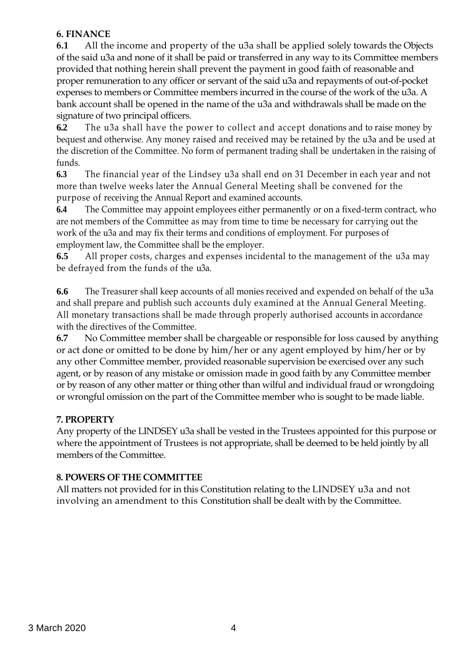### **6. FINANCE**

**6.1** All the income and property of the u3a shall be applied solely towards the Objects of the said u3a and none of it shall be paid or transferred in any way to its Committee members provided that nothing herein shall prevent the payment in good faith of reasonable and proper remuneration to any officer or servant of the said u3a and repayments of out-of-pocket expenses to members or Committee members incurred in the course of the work of the u3a. A bank account shall be opened in the name of the u3a and withdrawals shall be made on the signature of two principal officers.

**6.2** The u3a shall have the power to collect and accept donations and to raise money by bequest and otherwise. Any money raised and received may be retained by the u3a and be used at the discretion of the Committee. No form of permanent trading shall be undertaken in the raising of funds.

**6.3** The financial year of the Lindsey u3a shall end on 31 December in each year and not more than twelve weeks later the Annual General Meeting shall be convened for the purpose of receiving the Annual Report and examined accounts.

**6.4** The Committee may appoint employees either permanently or on a fixed-term contract, who are not members of the Committee as may from time to time be necessary for carrying out the work of the u3a and may fix their terms and conditions of employment. For purposes of employment law, the Committee shall be the employer.

**6.5** All proper costs, charges and expenses incidental to the management of the u3a may be defrayed from the funds of the u3a.

**6.6** The Treasurer shall keep accounts of all monies received and expended on behalf of the u3a and shall prepare and publish such accounts duly examined at the Annual General Meeting. All monetary transactions shall be made through properly authorised accounts in accordance with the directives of the Committee.

**6.7** No Committee member shall be chargeable or responsible for loss caused by anything or act done or omitted to be done by him/her or any agent employed by him/her or by any other Committee member, provided reasonable supervision be exercised over any such agent, or by reason of any mistake or omission made in good faith by any Committee member or by reason of any other matter or thing other than wilful and individual fraud or wrongdoing or wrongful omission on the part of the Committee member who is sought to be made liable.

# **7. PROPERTY**

Any property of the LINDSEY u3a shall be vested in the Trustees appointed for this purpose or where the appointment of Trustees is not appropriate, shall be deemed to be held jointly by all members of the Committee.

# **8. POWERS OF THE COMMITTEE**

All matters not provided for in this Constitution relating to the LINDSEY u3a and not involving an amendment to this Constitution shall be dealt with by the Committee.